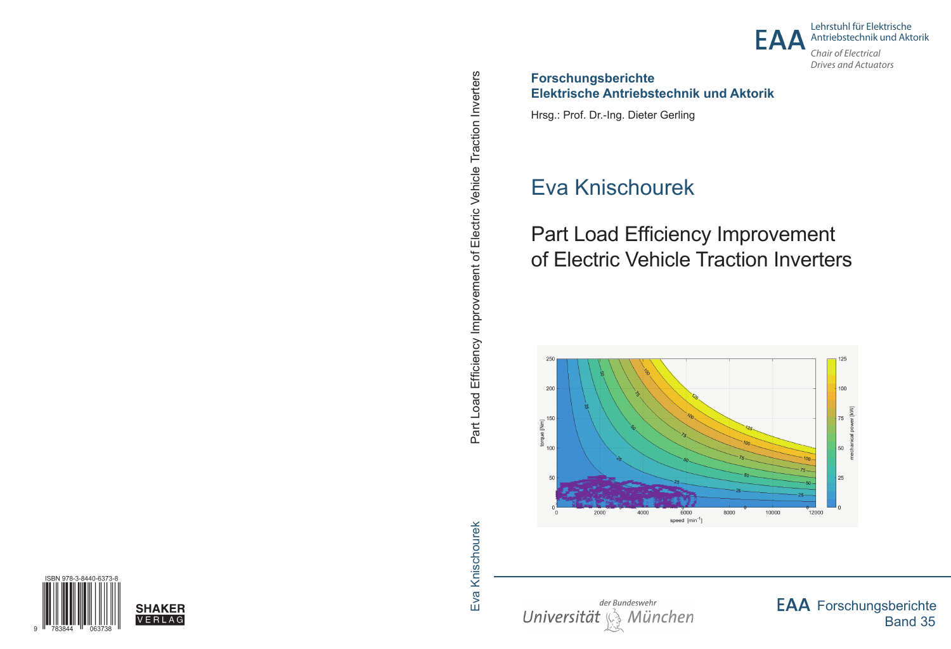

Lehrstuhl für Elektrische Antriebstechnik und Aktorik

*Chair of Electrical Drives and Actuators*

### **Forschungsberichte Elektrische Antriebstechnik und Aktorik**

Hrsg.: Prof. Dr.-Ing. Dieter Gerling

# Eva Knischourek

# Part Load Efficiency Improvement of Electric Vehicle Traction Inverters





**EAA** Forschungsberichte Band 35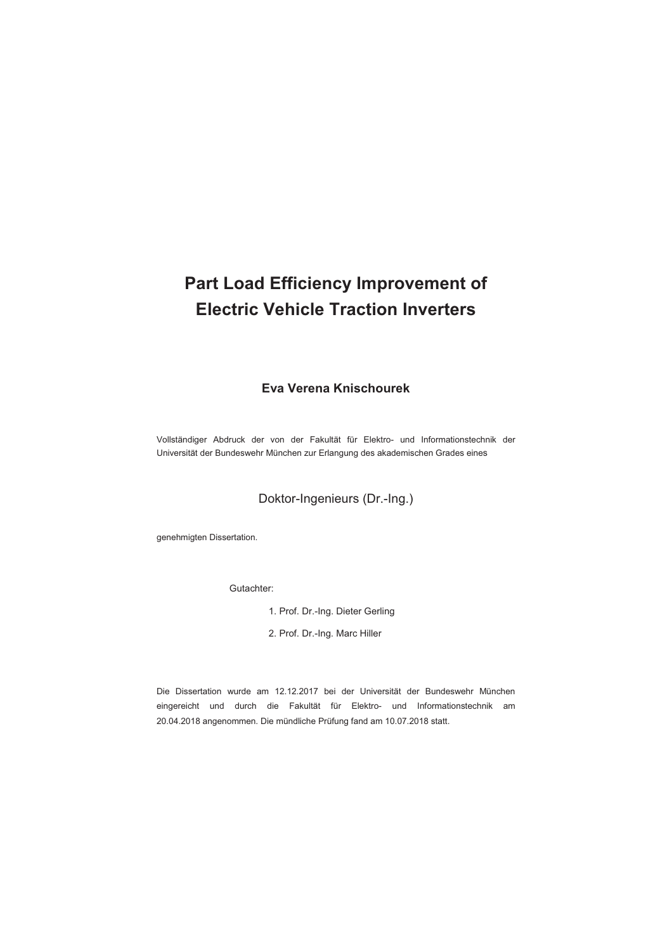## **Part Load Efficiency Improvement of Electric Vehicle Traction Inverters**

#### **Eva Verena Knischourek**

Vollständiger Abdruck der von der Fakultät für Elektro- und Informationstechnik der Universität der Bundeswehr München zur Erlangung des akademischen Grades eines

Doktor-Ingenieurs (Dr.-Ing.)

genehmigten Dissertation.

Gutachter:

- 1. Prof. Dr.-Ing. Dieter Gerling
- 2. Prof. Dr.-Ing. Marc Hiller

Die Dissertation wurde am 12.12.2017 bei der Universität der Bundeswehr München eingereicht und durch die Fakultät für Elektro- und Informationstechnik am 20.04.2018 angenommen. Die mündliche Prüfung fand am 10.07.2018 statt.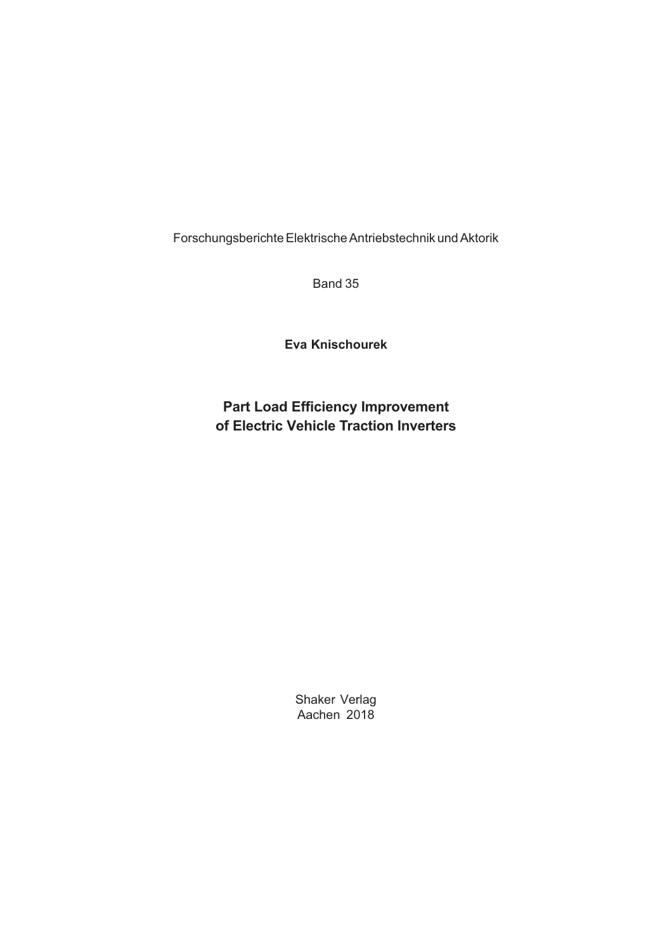Forschungsberichte Elektrische Antriebstechnik und Aktorik

Band 35

**Eva Knischourek**

### **Part Load Efficiency Improvement of Electric Vehicle Traction Inverters**

Shaker Verlag Aachen 2018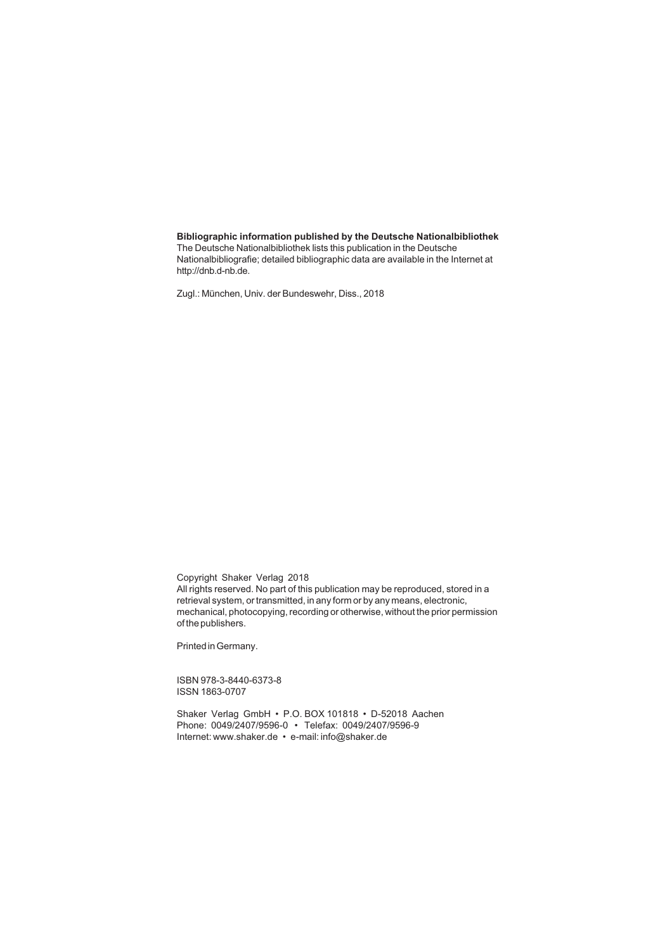#### **Bibliographic information published by the Deutsche Nationalbibliothek**

The Deutsche Nationalbibliothek lists this publication in the Deutsche Nationalbibliografie; detailed bibliographic data are available in the Internet at http://dnb.d-nb.de.

Zugl.: München, Univ. der Bundeswehr, Diss., 2018

Copyright Shaker Verlag 2018 All rights reserved. No part of this publication may be reproduced, stored in a retrieval system, or transmitted, in any form or by any means, electronic, mechanical, photocopying, recording or otherwise, without the prior permission

Printed in Germany.

of the publishers.

ISBN 978-3-8440-6373-8 ISSN 1863-0707

Shaker Verlag GmbH • P.O. BOX 101818 • D-52018 Aachen Phone: 0049/2407/9596-0 • Telefax: 0049/2407/9596-9 Internet: www.shaker.de • e-mail: info@shaker.de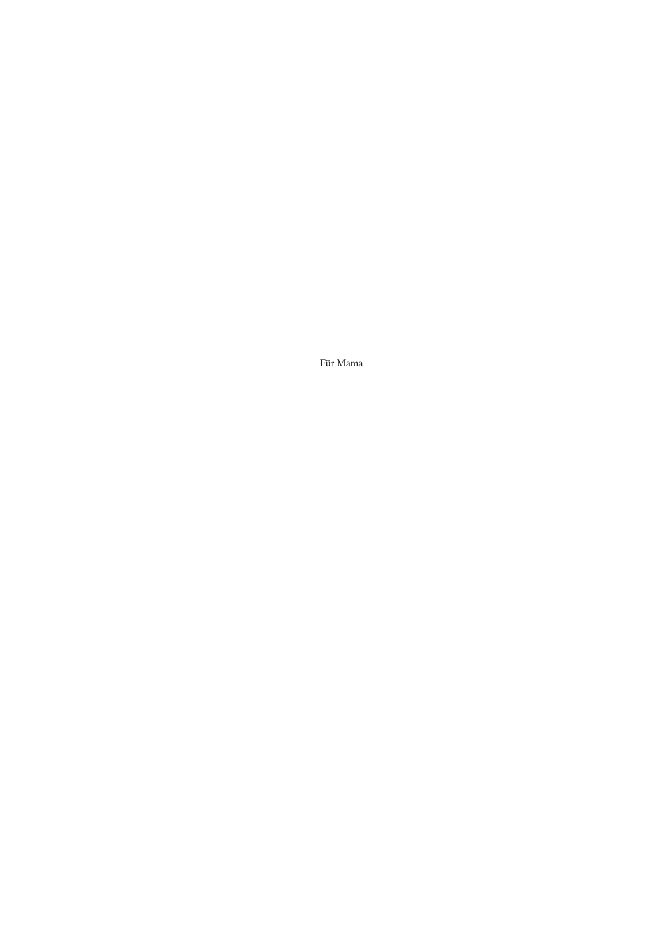Für Mama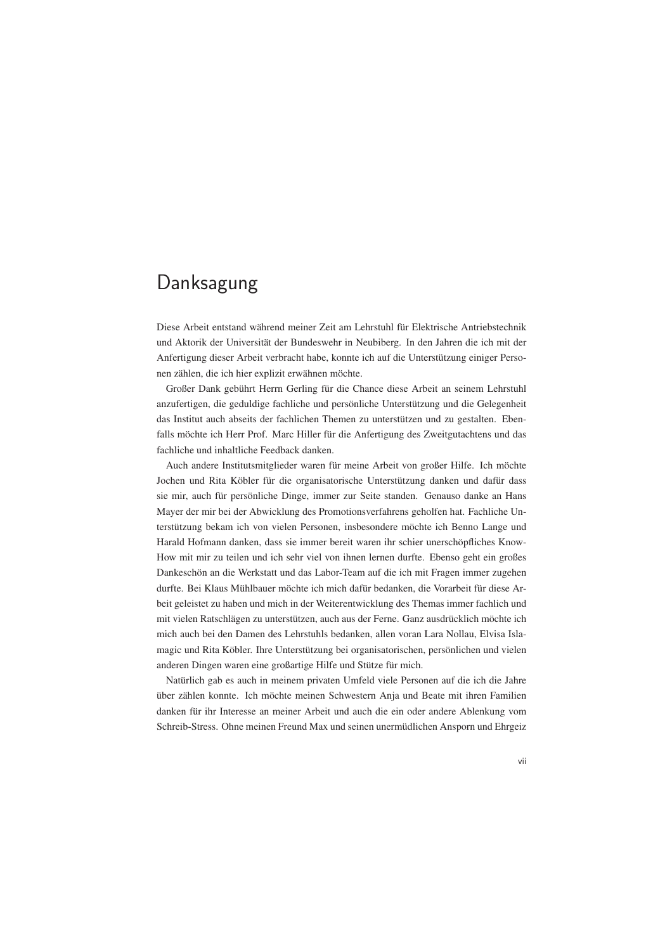## Danksagung

Diese Arbeit entstand während meiner Zeit am Lehrstuhl für Elektrische Antriebstechnik und Aktorik der Universität der Bundeswehr in Neubiberg. In den Jahren die ich mit der Anfertigung dieser Arbeit verbracht habe, konnte ich auf die Unterstützung einiger Personen zählen, die ich hier explizit erwähnen möchte.

Großer Dank gebührt Herrn Gerling für die Chance diese Arbeit an seinem Lehrstuhl anzufertigen, die geduldige fachliche und persönliche Unterstützung und die Gelegenheit das Institut auch abseits der fachlichen Themen zu unterstützen und zu gestalten. Ebenfalls möchte ich Herr Prof. Marc Hiller für die Anfertigung des Zweitgutachtens und das fachliche und inhaltliche Feedback danken.

Auch andere Institutsmitglieder waren für meine Arbeit von großer Hilfe. Ich möchte Jochen und Rita Köbler für die organisatorische Unterstützung danken und dafür dass sie mir, auch für persönliche Dinge, immer zur Seite standen. Genauso danke an Hans Mayer der mir bei der Abwicklung des Promotionsverfahrens geholfen hat. Fachliche Unterstützung bekam ich von vielen Personen, insbesondere möchte ich Benno Lange und Harald Hofmann danken, dass sie immer bereit waren ihr schier unerschöpfliches Know-How mit mir zu teilen und ich sehr viel von ihnen lernen durfte. Ebenso geht ein großes Dankeschön an die Werkstatt und das Labor-Team auf die ich mit Fragen immer zugehen durfte. Bei Klaus Mühlbauer möchte ich mich dafür bedanken, die Vorarbeit für diese Arbeit geleistet zu haben und mich in der Weiterentwicklung des Themas immer fachlich und mit vielen Ratschlägen zu unterstützen, auch aus der Ferne. Ganz ausdrücklich möchte ich mich auch bei den Damen des Lehrstuhls bedanken, allen voran Lara Nollau, Elvisa Islamagic und Rita Köbler. Ihre Unterstützung bei organisatorischen, persönlichen und vielen anderen Dingen waren eine großartige Hilfe und Stütze für mich.

Natürlich gab es auch in meinem privaten Umfeld viele Personen auf die ich die Jahre über zählen konnte. Ich möchte meinen Schwestern Anja und Beate mit ihren Familien danken für ihr Interesse an meiner Arbeit und auch die ein oder andere Ablenkung vom Schreib-Stress. Ohne meinen Freund Max und seinen unermüdlichen Ansporn und Ehrgeiz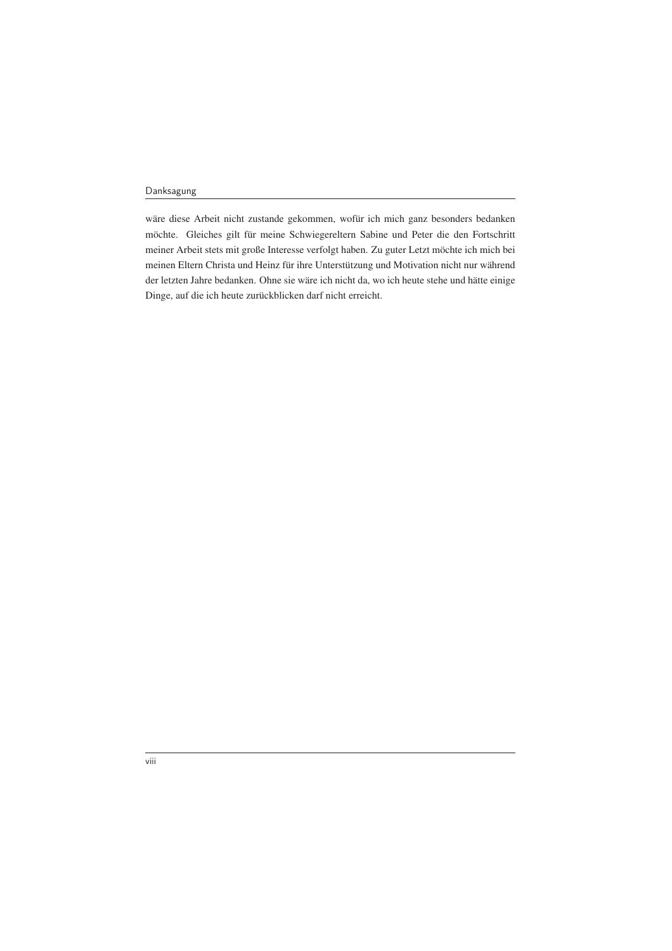wäre diese Arbeit nicht zustande gekommen, wofür ich mich ganz besonders bedanken möchte. Gleiches gilt für meine Schwiegereltern Sabine und Peter die den Fortschritt meiner Arbeit stets mit große Interesse verfolgt haben. Zu guter Letzt möchte ich mich bei meinen Eltern Christa und Heinz für ihre Unterstützung und Motivation nicht nur während der letzten Jahre bedanken. Ohne sie wäre ich nicht da, wo ich heute stehe und hätte einige Dinge, auf die ich heute zurückblicken darf nicht erreicht.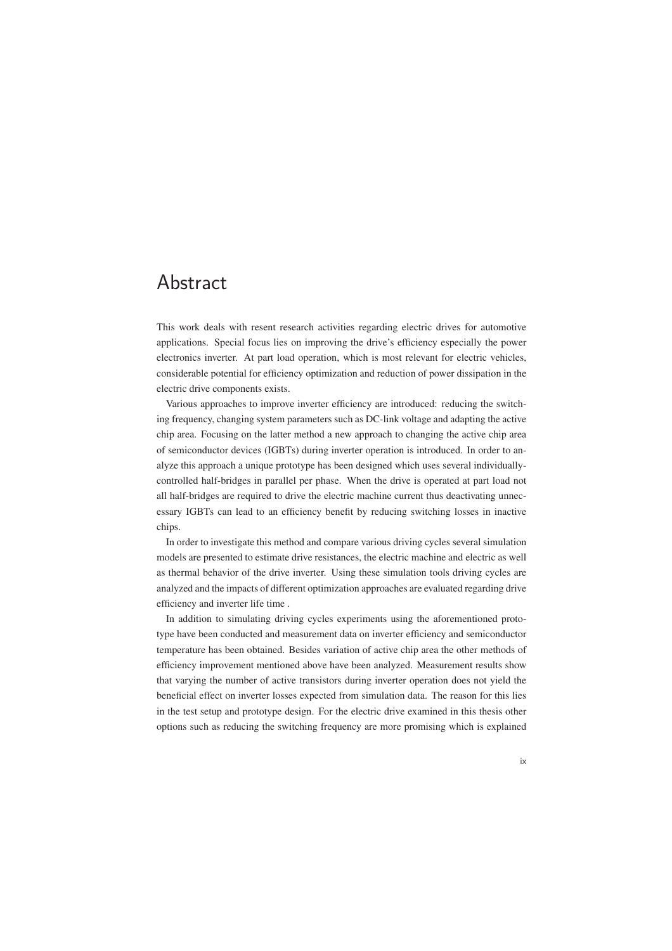## Abstract

This work deals with resent research activities regarding electric drives for automotive applications. Special focus lies on improving the drive's efficiency especially the power electronics inverter. At part load operation, which is most relevant for electric vehicles, considerable potential for efficiency optimization and reduction of power dissipation in the electric drive components exists.

Various approaches to improve inverter efficiency are introduced: reducing the switching frequency, changing system parameters such as DC-link voltage and adapting the active chip area. Focusing on the latter method a new approach to changing the active chip area of semiconductor devices (IGBTs) during inverter operation is introduced. In order to analyze this approach a unique prototype has been designed which uses several individuallycontrolled half-bridges in parallel per phase. When the drive is operated at part load not all half-bridges are required to drive the electric machine current thus deactivating unnecessary IGBTs can lead to an efficiency benefit by reducing switching losses in inactive chips.

In order to investigate this method and compare various driving cycles several simulation models are presented to estimate drive resistances, the electric machine and electric as well as thermal behavior of the drive inverter. Using these simulation tools driving cycles are analyzed and the impacts of different optimization approaches are evaluated regarding drive efficiency and inverter life time .

In addition to simulating driving cycles experiments using the aforementioned prototype have been conducted and measurement data on inverter efficiency and semiconductor temperature has been obtained. Besides variation of active chip area the other methods of efficiency improvement mentioned above have been analyzed. Measurement results show that varying the number of active transistors during inverter operation does not yield the beneficial effect on inverter losses expected from simulation data. The reason for this lies in the test setup and prototype design. For the electric drive examined in this thesis other options such as reducing the switching frequency are more promising which is explained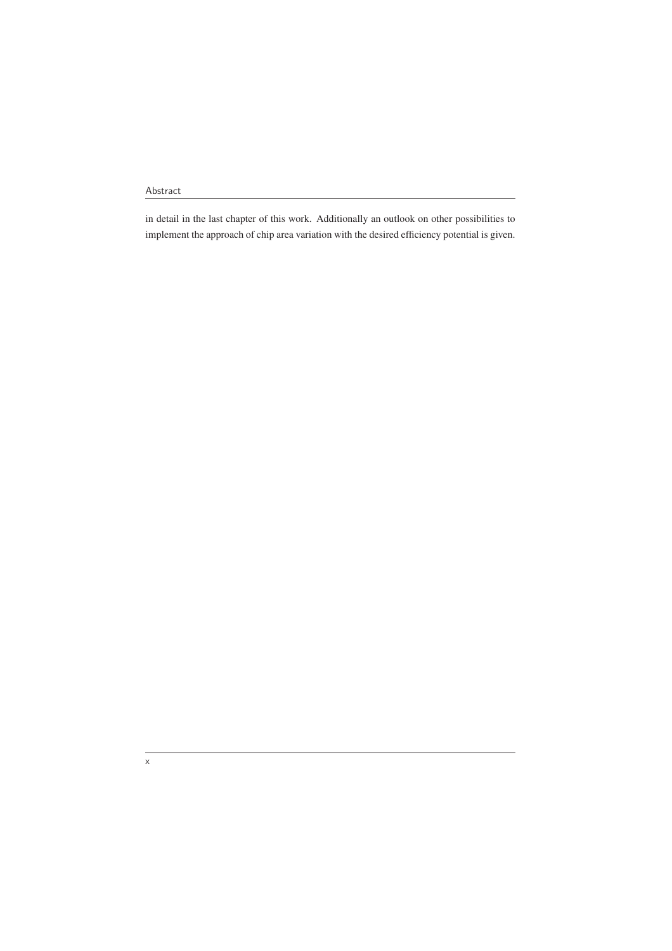in detail in the last chapter of this work. Additionally an outlook on other possibilities to implement the approach of chip area variation with the desired efficiency potential is given.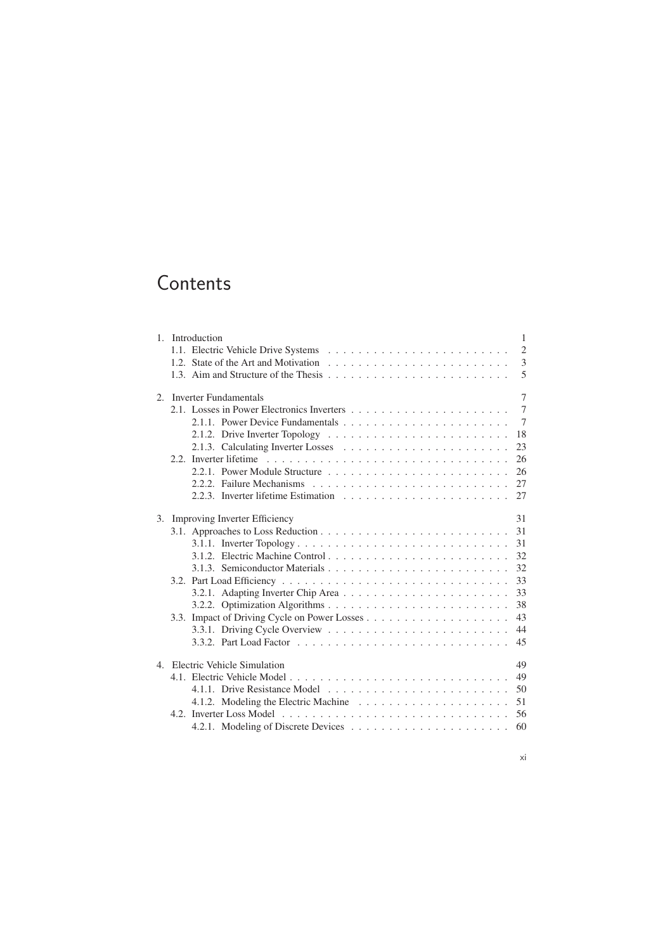# **Contents**

|  | 1. Introduction<br>$\mathbf{1}$        |                                                                                                         |  |  |  |
|--|----------------------------------------|---------------------------------------------------------------------------------------------------------|--|--|--|
|  |                                        | $\overline{2}$                                                                                          |  |  |  |
|  |                                        | 3                                                                                                       |  |  |  |
|  |                                        | 5                                                                                                       |  |  |  |
|  | 7<br>2. Inverter Fundamentals          |                                                                                                         |  |  |  |
|  |                                        | $\overline{7}$                                                                                          |  |  |  |
|  |                                        | $7\phantom{.0}$                                                                                         |  |  |  |
|  |                                        | 18<br>2.1.2. Drive Inverter Topology $\ldots \ldots \ldots \ldots \ldots \ldots \ldots \ldots \ldots$   |  |  |  |
|  |                                        | 23                                                                                                      |  |  |  |
|  |                                        | 26                                                                                                      |  |  |  |
|  |                                        | 26                                                                                                      |  |  |  |
|  |                                        | 27<br>2.2.2. Failure Mechanisms $\ldots \ldots \ldots \ldots \ldots \ldots \ldots \ldots \ldots \ldots$ |  |  |  |
|  |                                        | 27                                                                                                      |  |  |  |
|  | 31<br>3. Improving Inverter Efficiency |                                                                                                         |  |  |  |
|  |                                        | 31                                                                                                      |  |  |  |
|  |                                        | 31                                                                                                      |  |  |  |
|  |                                        | 32                                                                                                      |  |  |  |
|  |                                        | 32                                                                                                      |  |  |  |
|  |                                        | 33                                                                                                      |  |  |  |
|  |                                        | 33                                                                                                      |  |  |  |
|  |                                        | 38                                                                                                      |  |  |  |
|  |                                        | 43                                                                                                      |  |  |  |
|  |                                        | 44                                                                                                      |  |  |  |
|  |                                        | 45                                                                                                      |  |  |  |
|  |                                        | 49<br>4. Electric Vehicle Simulation                                                                    |  |  |  |
|  |                                        | 49                                                                                                      |  |  |  |
|  |                                        | 50                                                                                                      |  |  |  |
|  |                                        | 51                                                                                                      |  |  |  |
|  |                                        | 56                                                                                                      |  |  |  |
|  |                                        | 60                                                                                                      |  |  |  |